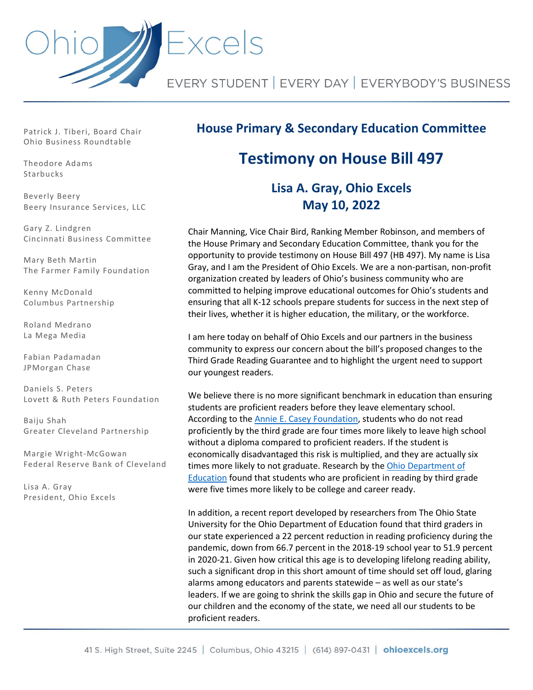

Patrick J. Tiberi, Board Chair Ohio Business Roundtable

Theodore Adams Starbucks

Beverly Beery Beery Insurance Services, LLC

Gary Z. Lindgren Cincinnati Business Committee

Mary Beth Martin The Farmer Family Foundation

Kenny McDonald Columbus Partnership

Roland Medrano La Mega Media

Fabian Padamadan JPMorgan Chase

Daniels S. Peters Lovett & Ruth Peters Foundation

Baiju Shah Greater Cleveland Partnership

Margie Wright-McGowan Federal Reserve Bank of Cleveland

Lisa A. Gray President, Ohio Excels

## **House Primary & Secondary Education Committee**

## **Testimony on House Bill 497**

## **Lisa A. Gray, Ohio Excels May 10, 2022**

Chair Manning, Vice Chair Bird, Ranking Member Robinson, and members of the House Primary and Secondary Education Committee, thank you for the opportunity to provide testimony on House Bill 497 (HB 497). My name is Lisa Gray, and I am the President of Ohio Excels. We are a non-partisan, non-profit organization created by leaders of Ohio's business community who are committed to helping improve educational outcomes for Ohio's students and ensuring that all K-12 schools prepare students for success in the next step of their lives, whether it is higher education, the military, or the workforce.

I am here today on behalf of Ohio Excels and our partners in the business community to express our concern about the bill's proposed changes to the Third Grade Reading Guarantee and to highlight the urgent need to support our youngest readers.

We believe there is no more significant benchmark in education than ensuring students are proficient readers before they leave elementary school. According to th[e Annie E. Casey Foundation,](https://www.aecf.org/blog/poverty-puts-struggling-readers-in-double-jeopardy-minorities-most-at-risk) students who do not read proficiently by the third grade are four times more likely to leave high school without a diploma compared to proficient readers. If the student is economically disadvantaged this risk is multiplied, and they are actually six times more likely to not graduate. Research by the Ohio Department of [Education](https://education.ohio.gov/getattachment/Topics/Early-Learning/Third-Grade-Reading-Guarantee/TGRG-CCR.pdf.aspx) found that students who are proficient in reading by third grade were five times more likely to be college and career ready.

In addition, a recent report developed by researchers from The Ohio State University for the Ohio Department of Education found that third graders in our state experienced a 22 percent reduction in reading proficiency during the pandemic, down from 66.7 percent in the 2018-19 school year to 51.9 percent in 2020-21. Given how critical this age is to developing lifelong reading ability, such a significant drop in this short amount of time should set off loud, glaring alarms among educators and parents statewide – as well as our state's leaders. If we are going to shrink the skills gap in Ohio and secure the future of our children and the economy of the state, we need all our students to be proficient readers.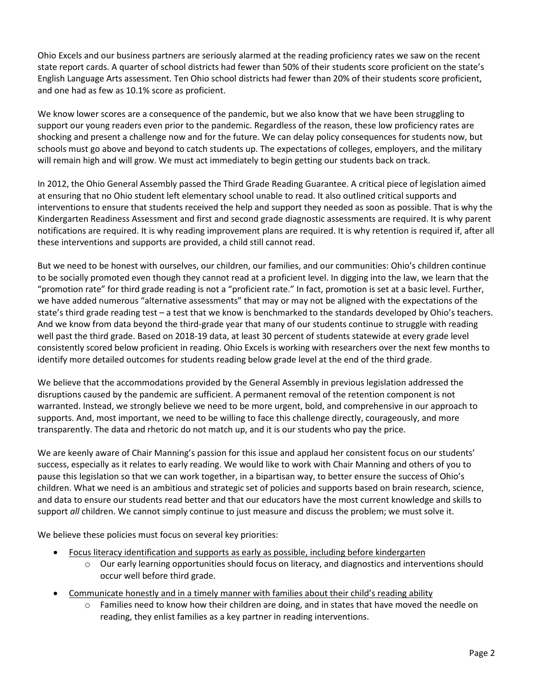Ohio Excels and our business partners are seriously alarmed at the reading proficiency rates we saw on the recent state report cards. A quarter of school districts had fewer than 50% of their students score proficient on the state's English Language Arts assessment. Ten Ohio school districts had fewer than 20% of their students score proficient, and one had as few as 10.1% score as proficient.

We know lower scores are a consequence of the pandemic, but we also know that we have been struggling to support our young readers even prior to the pandemic. Regardless of the reason, these low proficiency rates are shocking and present a challenge now and for the future. We can delay policy consequences for students now, but schools must go above and beyond to catch students up. The expectations of colleges, employers, and the military will remain high and will grow. We must act immediately to begin getting our students back on track.

In 2012, the Ohio General Assembly passed the Third Grade Reading Guarantee. A critical piece of legislation aimed at ensuring that no Ohio student left elementary school unable to read. It also outlined critical supports and interventions to ensure that students received the help and support they needed as soon as possible. That is why the Kindergarten Readiness Assessment and first and second grade diagnostic assessments are required. It is why parent notifications are required. It is why reading improvement plans are required. It is why retention is required if, after all these interventions and supports are provided, a child still cannot read.

But we need to be honest with ourselves, our children, our families, and our communities: Ohio's children continue to be socially promoted even though they cannot read at a proficient level. In digging into the law, we learn that the "promotion rate" for third grade reading is not a "proficient rate." In fact, promotion is set at a basic level. Further, we have added numerous "alternative assessments" that may or may not be aligned with the expectations of the state's third grade reading test – a test that we know is benchmarked to the standards developed by Ohio's teachers. And we know from data beyond the third-grade year that many of our students continue to struggle with reading well past the third grade. Based on 2018-19 data, at least 30 percent of students statewide at every grade level consistently scored below proficient in reading. Ohio Excels is working with researchers over the next few months to identify more detailed outcomes for students reading below grade level at the end of the third grade.

We believe that the accommodations provided by the General Assembly in previous legislation addressed the disruptions caused by the pandemic are sufficient. A permanent removal of the retention component is not warranted. Instead, we strongly believe we need to be more urgent, bold, and comprehensive in our approach to supports. And, most important, we need to be willing to face this challenge directly, courageously, and more transparently. The data and rhetoric do not match up, and it is our students who pay the price.

We are keenly aware of Chair Manning's passion for this issue and applaud her consistent focus on our students' success, especially as it relates to early reading. We would like to work with Chair Manning and others of you to pause this legislation so that we can work together, in a bipartisan way, to better ensure the success of Ohio's children. What we need is an ambitious and strategic set of policies and supports based on brain research, science, and data to ensure our students read better and that our educators have the most current knowledge and skills to support *all* children. We cannot simply continue to just measure and discuss the problem; we must solve it.

We believe these policies must focus on several key priorities:

- Focus literacy identification and supports as early as possible, including before kindergarten
	- $\circ$  Our early learning opportunities should focus on literacy, and diagnostics and interventions should occur well before third grade.
- Communicate honestly and in a timely manner with families about their child's reading ability
	- $\circ$  Families need to know how their children are doing, and in states that have moved the needle on reading, they enlist families as a key partner in reading interventions.